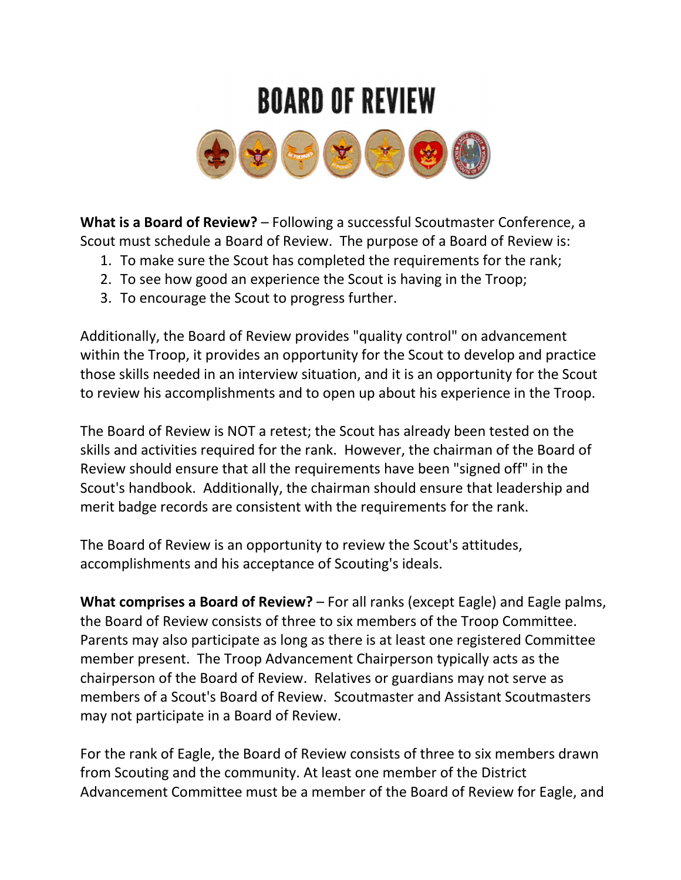## **BOARD OF REVIEW**



What is a Board of Review? - Following a successful Scoutmaster Conference, a Scout must schedule a Board of Review. The purpose of a Board of Review is:

- 1. To make sure the Scout has completed the requirements for the rank;
- 2. To see how good an experience the Scout is having in the Troop;
- 3. To encourage the Scout to progress further.

Additionally, the Board of Review provides "quality control" on advancement within the Troop, it provides an opportunity for the Scout to develop and practice those skills needed in an interview situation, and it is an opportunity for the Scout to review his accomplishments and to open up about his experience in the Troop.

The Board of Review is NOT a retest; the Scout has already been tested on the skills and activities required for the rank. However, the chairman of the Board of Review should ensure that all the requirements have been "signed off" in the Scout's handbook. Additionally, the chairman should ensure that leadership and merit badge records are consistent with the requirements for the rank.

The Board of Review is an opportunity to review the Scout's attitudes, accomplishments and his acceptance of Scouting's ideals.

What comprises a Board of Review? – For all ranks (except Eagle) and Eagle palms, the Board of Review consists of three to six members of the Troop Committee. Parents may also participate as long as there is at least one registered Committee member present. The Troop Advancement Chairperson typically acts as the chairperson of the Board of Review. Relatives or guardians may not serve as members of a Scout's Board of Review. Scoutmaster and Assistant Scoutmasters may not participate in a Board of Review.

For the rank of Eagle, the Board of Review consists of three to six members drawn from Scouting and the community. At least one member of the District Advancement Committee must be a member of the Board of Review for Eagle, and